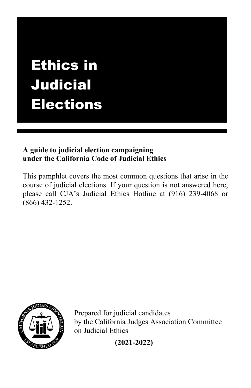# Ethics in Judicial Elections

# **A guide to judicial election campaigning under the California Code of Judicial Ethics**

This pamphlet covers the most common questions that arise in the course of judicial elections. If your question is not answered here, please call CJA's Judicial Ethics Hotline at (916) 239-4068 or (866) 432-1252.



Prepared for judicial candidates by the California Judges Association Committee on Judicial Ethics

**(2021-2022)**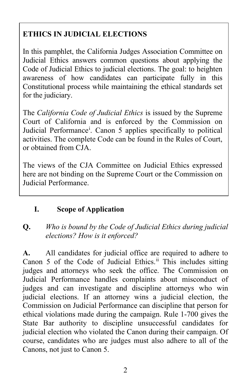# **ETHICS IN JUDICIAL ELECTIONS**

In this pamphlet, the California Judges Association Committee on Judicial Ethics answers common questions about applying the Code of Judicial Ethics to judicial elections. The goal: to heighten awareness of how candidates can participate fully in this Constitutional process while maintaining the ethical standards set for the judiciary.

The *California Code of Judicial Ethics* is issued by the Supreme Court of California and is enforced by the Commission on Jud[i](#page-17-0)cial Performance<sup>i</sup>. Canon 5 applies specifically to political activities. The complete Code can be found in the Rules of Court, or obtained from CJA.

The views of the CJA Committee on Judicial Ethics expressed here are not binding on the Supreme Court or the Commission on Judicial Performance.

# **I. Scope of Application**

# **Q.** *Who is bound by the Code of Judicial Ethics during judicial elections? How is it enforced?*

**A.** All candidates for judicial office are required to adhere to Canon 5 of the Code of Judicial Ethics.<sup>[ii](#page-17-1)</sup> This includes sitting judges and attorneys who seek the office. The Commission on Judicial Performance handles complaints about misconduct of judges and can investigate and discipline attorneys who win judicial elections. If an attorney wins a judicial election, the Commission on Judicial Performance can discipline that person for ethical violations made during the campaign. Rule 1-700 gives the State Bar authority to discipline unsuccessful candidates for judicial election who violated the Canon during their campaign. Of course, candidates who are judges must also adhere to all of the Canons, not just to Canon 5.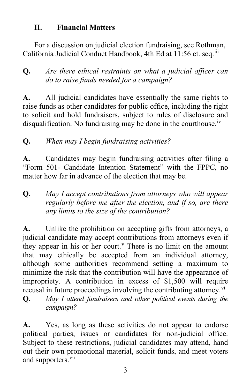#### **II. Financial Matters**

For a discussion on judicial election fundraising, see Rothman, California Judicial Conduct Handbook, 4th Ed at 11:56 et. seq.<sup>[iii](#page-17-2)</sup>

# **Q.** *Are there ethical restraints on what a judicial officer can do to raise funds needed for a campaign?*

**A.** All judicial candidates have essentially the same rights to raise funds as other candidates for public office, including the right to solicit and hold fundraisers, subject to rules of disclosure and disqualification. No fundraising may be done in the courthouse.<sup>[iv](#page-17-3)</sup>

# **Q.** *When may I begin fundraising activities?*

**A.** Candidates may begin fundraising activities after filing a "Form 501- Candidate Intention Statement" with the FPPC, no matter how far in advance of the election that may be.

# **Q.** *May I accept contributions from attorneys who will appear regularly before me after the election, and if so, are there any limits to the size of the contribution?*

**A.** Unlike the prohibition on accepting gifts from attorneys, a judicial candidate may accept contributions from attorneys even if they appear in his or her court.<sup> $v$ </sup> There is no limit on the amount that may ethically be accepted from an individual attorney, although some authorities recommend setting a maximum to minimize the risk that the contribution will have the appearance of impropriety. A contribution in excess of \$1,500 will require recusal in future proceedings invol[vi](#page-17-5)ng the contributing attorney.<sup>vi</sup>

**Q.** *May I attend fundraisers and other political events during the campaign?*

**A.** Yes, as long as these activities do not appear to endorse political parties, issues or candidates for non-judicial office. Subject to these restrictions, judicial candidates may attend, hand out their own promotional material, solicit funds, and meet voters and supporters.<sup>[vii](#page-17-6)</sup>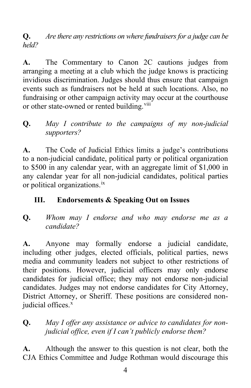**Q.** *Are there any restrictions on where fundraisers for a judge can be held?*

**A.** The Commentary to Canon 2C cautions judges from arranging a meeting at a club which the judge knows is practicing invidious discrimination. Judges should thus ensure that campaign events such as fundraisers not be held at such locations. Also, no fundraising or other campaign activity may occur at the courthouse or other state-owned or rented building.<sup>[viii](#page-17-7)</sup>

# **Q.** *May I contribute to the campaigns of my non-judicial supporters?*

**A.** The Code of Judicial Ethics limits a judge's contributions to a non-judicial candidate, political party or political organization to \$500 in any calendar year, with an aggregate limit of \$1,000 in any calendar year for all non-judicial candidates, political parties or political organizations.[ix](#page-17-8)

# **III. Endorsements & Speaking Out on Issues**

**Q.** *Whom may I endorse and who may endorse me as a candidate?*

**A.** Anyone may formally endorse a judicial candidate, including other judges, elected officials, political parties, news media and community leaders not subject to other restrictions of their positions. However, judicial officers may only endorse candidates for judicial office; they may not endorse non-judicial candidates. Judges may not endorse candidates for City Attorney, District Attorney, or Sheriff. These positions are considered nonjudicial offices.<sup>[x](#page-17-9)</sup>

# **Q.** *May I offer any assistance or advice to candidates for nonjudicial office, even if I can't publicly endorse them?*

**A.** Although the answer to this question is not clear, both the CJA Ethics Committee and Judge Rothman would discourage this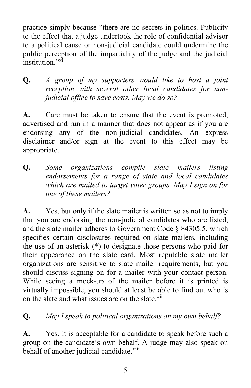practice simply because "there are no secrets in politics. Publicity to the effect that a judge undertook the role of confidential advisor to a political cause or non-judicial candidate could undermine the public perception of the impartiality of the judge and the judicial institution<sup>"[xi](#page-17-10)</sup>

**Q.** *A group of my supporters would like to host a joint reception with several other local candidates for nonjudicial office to save costs. May we do so?*

**A.** Care must be taken to ensure that the event is promoted, advertised and run in a manner that does not appear as if you are endorsing any of the non-judicial candidates. An express disclaimer and/or sign at the event to this effect may be appropriate.

**Q.** *Some organizations compile slate mailers listing endorsements for a range of state and local candidates which are mailed to target voter groups. May I sign on for one of these mailers?*

**A.** Yes, but only if the slate mailer is written so as not to imply that you are endorsing the non-judicial candidates who are listed, and the slate mailer adheres to Government Code § 84305.5, which specifies certain disclosures required on slate mailers, including the use of an asterisk (\*) to designate those persons who paid for their appearance on the slate card. Most reputable slate mailer organizations are sensitive to slate mailer requirements, but you should discuss signing on for a mailer with your contact person. While seeing a mock-up of the mailer before it is printed is virtually impossible, you should at least be able to find out who is on the slate and what issues are on the slate.<sup>[xii](#page-17-11)</sup>

# **Q.** *May I speak to political organizations on my own behalf?*

**A.** Yes. It is acceptable for a candidate to speak before such a group on the candidate's own behalf. A judge may also speak on behalf of another judicial candidate.<sup>[xiii](#page-17-12)</sup>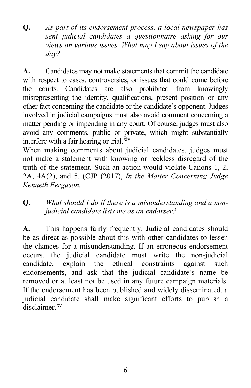**Q.** *As part of its endorsement process, a local newspaper has sent judicial candidates a questionnaire asking for our views on various issues. What may I say about issues of the day?*

**A.** Candidates may not make statements that commit the candidate with respect to cases, controversies, or issues that could come before the courts. Candidates are also prohibited from knowingly misrepresenting the identity, qualifications, present position or any other fact concerning the candidate or the candidate's opponent. Judges involved in judicial campaigns must also avoid comment concerning a matter pending or impending in any court. Of course, judges must also avoid any comments, public or private, which might substantially interfere with a fair hearing or trial.<sup>[xiv](#page-17-13)</sup>

When making comments about judicial candidates, judges must not make a statement with knowing or reckless disregard of the truth of the statement. Such an action would violate Canons 1, 2, 2A, 4A(2), and 5. (CJP (2017), *In the Matter Concerning Judge Kenneth Ferguson.*

# **Q.** *What should I do if there is a misunderstanding and a nonjudicial candidate lists me as an endorser?*

**A.** This happens fairly frequently. Judicial candidates should be as direct as possible about this with other candidates to lessen the chances for a misunderstanding. If an erroneous endorsement occurs, the judicial candidate must write the non-judicial candidate, explain the ethical constraints against such endorsements, and ask that the judicial candidate's name be removed or at least not be used in any future campaign materials. If the endorsement has been published and widely disseminated, a judicial candidate shall make significant efforts to publish a disclaimer.<sup>[xv](#page-17-14)</sup>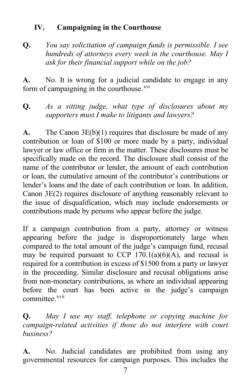# **IV. Campaigning in the Courthouse**

**Q.** *You say solicitation of campaign funds is permissible. I see hundreds of attorneys every week in the courthouse. May I ask for their financial support while on the job?* 

**A.** No. It is wrong for a judicial candidate to engage in any form of campaigning in the courthouse. $x^{vi}$ 

**Q.** *As a sitting judge, what type of disclosures about my supporters must I make to litigants and lawyers?*

**A.** The Canon 3E(b)(1) requires that disclosure be made of any contribution or loan of \$100 or more made by a party, individual lawyer or law office or firm in the matter. These disclosures must be specifically made on the record. The disclosure shall consist of the name of the contributor or lender, the amount of each contribution or loan, the cumulative amount of the contributor's contributions or lender's loans and the date of each contribution or loan. In addition, Canon 3E(2) requires disclosure of anything reasonably relevant to the issue of disqualification, which may include endorsements or contributions made by persons who appear before the judge.

If a campaign contribution from a party, attorney or witness appearing before the judge is disproportionately large when compared to the total amount of the judge's campaign fund, recusal may be required pursuant to CCP  $170.1(a)(6)(A)$ , and recusal is required for a contribution in excess of \$1500 from a party or lawyer in the proceeding. Similar disclosure and recusal obligations arise from non-monetary contributions, as where an individual appearing before the court has been active in the judge's campaign committee<sup>[xvii](#page-17-16)</sup>

**Q.** *May I use my staff, telephone or copying machine for campaign-related activities if those do not interfere with court business?*

**A.** No. Judicial candidates are prohibited from using any governmental resources for campaign purposes. This includes the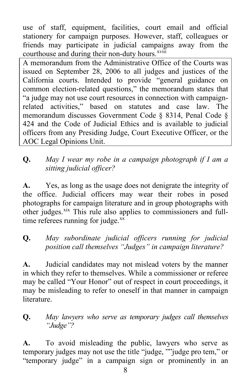use of staff, equipment, facilities, court email and official stationery for campaign purposes. However, staff, colleagues or friends may participate in judicial campai[gn](#page-17-17)s away from the courthouse and during their non-duty hours.<sup>xviii</sup>

A memorandum from the Administrative Office of the Courts was issued on September 28, 2006 to all judges and justices of the California courts. Intended to provide "general guidance on common election-related questions," the memorandum states that "a judge may not use court resources in connection with campaignrelated activities," based on statutes and case law. The memorandum discusses Government Code § 8314, Penal Code § 424 and the Code of Judicial Ethics and is available to judicial officers from any Presiding Judge, Court Executive Officer, or the AOC Legal Opinions Unit.

# **Q.** *May I wear my robe in a campaign photograph if I am a sitting judicial officer?*

**A.** Yes, as long as the usage does not denigrate the integrity of the office. Judicial officers may wear their robes in posed photographs for campaign literature and in group photographs with other judges.<sup>[xix](#page-17-18)</sup> This rule also applies to commissioners and fulltime referees running for judge. $^{xx}$  $^{xx}$  $^{xx}$ 

# **Q.** *May subordinate judicial officers running for judicial position call themselves "Judges" in campaign literature?*

**A.** Judicial candidates may not mislead voters by the manner in which they refer to themselves. While a commissioner or referee may be called "Your Honor" out of respect in court proceedings, it may be misleading to refer to oneself in that manner in campaign literature.

# **Q.** *May lawyers who serve as temporary judges call themselves "Judge"?*

**A.** To avoid misleading the public, lawyers who serve as temporary judges may not use the title "judge, ""judge pro tem," or "temporary judge" in a campaign sign or prominently in an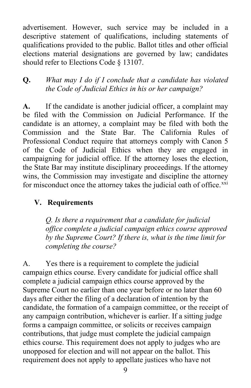advertisement. However, such service may be included in a descriptive statement of qualifications, including statements of qualifications provided to the public. Ballot titles and other official elections material designations are governed by law; candidates should refer to Elections Code § 13107.

**Q.** *What may I do if I conclude that a candidate has violated the Code of Judicial Ethics in his or her campaign?*

**A.** If the candidate is another judicial officer, a complaint may be filed with the Commission on Judicial Performance. If the candidate is an attorney, a complaint may be filed with both the Commission and the State Bar. The California Rules of Professional Conduct require that attorneys comply with Canon 5 of the Code of Judicial Ethics when they are engaged in campaigning for judicial office. If the attorney loses the election, the State Bar may institute disciplinary proceedings. If the attorney wins, the Commission may investigate and discipline the attorney for misconduct once the attorney takes the judicial oath of office.<sup>[xxi](#page-17-20)</sup>

#### **V. Requirements**

*Q. Is there a requirement that a candidate for judicial office complete a judicial campaign ethics course approved by the Supreme Court? If there is, what is the time limit for completing the course?* 

A. Yes there is a requirement to complete the judicial campaign ethics course. Every candidate for judicial office shall complete a judicial campaign ethics course approved by the Supreme Court no earlier than one year before or no later than 60 days after either the filing of a declaration of intention by the candidate, the formation of a campaign committee, or the receipt of any campaign contribution, whichever is earlier. If a sitting judge forms a campaign committee, or solicits or receives campaign contributions, that judge must complete the judicial campaign ethics course. This requirement does not apply to judges who are unopposed for election and will not appear on the ballot. This requirement does not apply to appellate justices who have not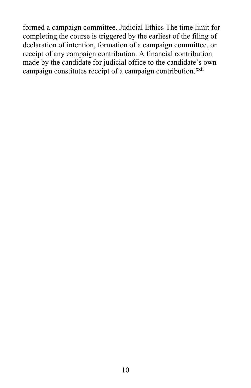formed a campaign committee. Judicial Ethics The time limit for completing the course is triggered by the earliest of the filing of declaration of intention, formation of a campaign committee, or receipt of any campaign contribution. A financial contribution made by the candidate for judicial office to the candidate's own campaign constitutes receipt of a campaign contribution.<sup>[xxii](#page-17-21)</sup>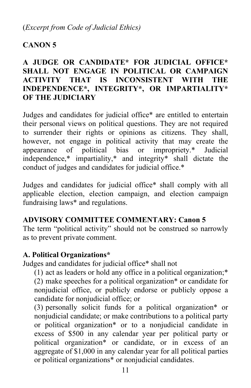# **CANON 5**

# **A JUDGE OR CANDIDATE\* FOR JUDICIAL OFFICE\* SHALL NOT ENGAGE IN POLITICAL OR CAMPAIGN ACTIVITY THAT IS INCONSISTENT WITH THE INDEPENDENCE\*, INTEGRITY\*, OR IMPARTIALITY\* OF THE JUDICIARY**

Judges and candidates for judicial office\* are entitled to entertain their personal views on political questions. They are not required to surrender their rights or opinions as citizens. They shall, however, not engage in political activity that may create the appearance of political bias or impropriety.\* Judicial independence,\* impartiality,\* and integrity\* shall dictate the conduct of judges and candidates for judicial office.\*

Judges and candidates for judicial office\* shall comply with all applicable election, election campaign, and election campaign fundraising laws\* and regulations.

#### **ADVISORY COMMITTEE COMMENTARY: Canon 5**

The term "political activity" should not be construed so narrowly as to prevent private comment.

# **A. Political Organizations\***

Judges and candidates for judicial office\* shall not

(1) act as leaders or hold any office in a political organization;\*

(2) make speeches for a political organization\* or candidate for nonjudicial office, or publicly endorse or publicly oppose a candidate for nonjudicial office; or

(3) personally solicit funds for a political organization\* or nonjudicial candidate; or make contributions to a political party or political organization\* or to a nonjudicial candidate in excess of \$500 in any calendar year per political party or political organization\* or candidate, or in excess of an aggregate of \$1,000 in any calendar year for all political parties or political organizations\* or nonjudicial candidates.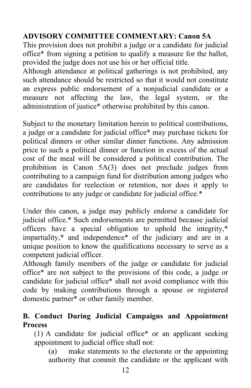# **ADVISORY COMMITTEE COMMENTARY: Canon 5A**

This provision does not prohibit a judge or a candidate for judicial office\* from signing a petition to qualify a measure for the ballot, provided the judge does not use his or her official title.

Although attendance at political gatherings is not prohibited, any such attendance should be restricted so that it would not constitute an express public endorsement of a nonjudicial candidate or a measure not affecting the law, the legal system, or the administration of justice\* otherwise prohibited by this canon.

Subject to the monetary limitation herein to political contributions, a judge or a candidate for judicial office\* may purchase tickets for political dinners or other similar dinner functions. Any admission price to such a political dinner or function in excess of the actual cost of the meal will be considered a political contribution. The prohibition in Canon 5A(3) does not preclude judges from contributing to a campaign fund for distribution among judges who are candidates for reelection or retention, nor does it apply to contributions to any judge or candidate for judicial office.\*

Under this canon, a judge may publicly endorse a candidate for judicial office.\* Such endorsements are permitted because judicial officers have a special obligation to uphold the integrity,\* impartiality,\* and independence\* of the judiciary and are in a unique position to know the qualifications necessary to serve as a competent judicial officer.

Although family members of the judge or candidate for judicial office\* are not subject to the provisions of this code, a judge or candidate for judicial office\* shall not avoid compliance with this code by making contributions through a spouse or registered domestic partner\* or other family member.

#### **B. Conduct During Judicial Campaigns and Appointment Process**

(1) A candidate for judicial office\* or an applicant seeking appointment to judicial office shall not:

(a) make statements to the electorate or the appointing authority that commit the candidate or the applicant with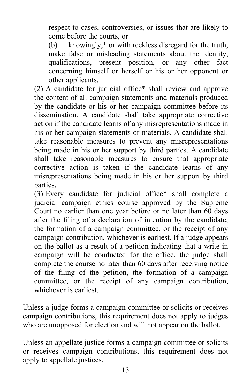respect to cases, controversies, or issues that are likely to come before the courts, or

(b) knowingly,\* or with reckless disregard for the truth, make false or misleading statements about the identity, qualifications, present position, or any other fact concerning himself or herself or his or her opponent or other applicants.

(2) A candidate for judicial office\* shall review and approve the content of all campaign statements and materials produced by the candidate or his or her campaign committee before its dissemination. A candidate shall take appropriate corrective action if the candidate learns of any misrepresentations made in his or her campaign statements or materials. A candidate shall take reasonable measures to prevent any misrepresentations being made in his or her support by third parties. A candidate shall take reasonable measures to ensure that appropriate corrective action is taken if the candidate learns of any misrepresentations being made in his or her support by third parties.

(3) Every candidate for judicial office\* shall complete a judicial campaign ethics course approved by the Supreme Court no earlier than one year before or no later than 60 days after the filing of a declaration of intention by the candidate, the formation of a campaign committee, or the receipt of any campaign contribution, whichever is earliest. If a judge appears on the ballot as a result of a petition indicating that a write-in campaign will be conducted for the office, the judge shall complete the course no later than 60 days after receiving notice of the filing of the petition, the formation of a campaign committee, or the receipt of any campaign contribution, whichever is earliest.

Unless a judge forms a campaign committee or solicits or receives campaign contributions, this requirement does not apply to judges who are unopposed for election and will not appear on the ballot.

Unless an appellate justice forms a campaign committee or solicits or receives campaign contributions, this requirement does not apply to appellate justices.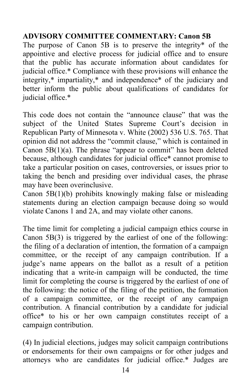# **ADVISORY COMMITTEE COMMENTARY: Canon 5B**

The purpose of Canon 5B is to preserve the integrity\* of the appointive and elective process for judicial office and to ensure that the public has accurate information about candidates for judicial office.\* Compliance with these provisions will enhance the integrity,\* impartiality,\* and independence\* of the judiciary and better inform the public about qualifications of candidates for judicial office.\*

This code does not contain the "announce clause" that was the subject of the United States Supreme Court's decision in Republican Party of Minnesota v. White (2002) 536 U.S. 765. That opinion did not address the "commit clause," which is contained in Canon  $5B(1)(a)$ . The phrase "appear to commit" has been deleted because, although candidates for judicial office\* cannot promise to take a particular position on cases, controversies, or issues prior to taking the bench and presiding over individual cases, the phrase may have been overinclusive.

Canon 5B(1)(b) prohibits knowingly making false or misleading statements during an election campaign because doing so would violate Canons 1 and 2A, and may violate other canons.

The time limit for completing a judicial campaign ethics course in Canon 5B(3) is triggered by the earliest of one of the following: the filing of a declaration of intention, the formation of a campaign committee, or the receipt of any campaign contribution. If a judge's name appears on the ballot as a result of a petition indicating that a write-in campaign will be conducted, the time limit for completing the course is triggered by the earliest of one of the following: the notice of the filing of the petition, the formation of a campaign committee, or the receipt of any campaign contribution. A financial contribution by a candidate for judicial office\* to his or her own campaign constitutes receipt of a campaign contribution.

(4) In judicial elections, judges may solicit campaign contributions or endorsements for their own campaigns or for other judges and attorneys who are candidates for judicial office.\* Judges are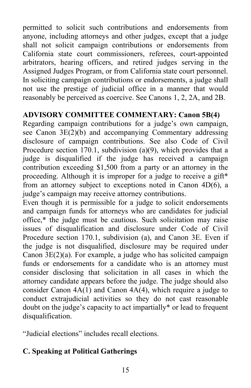permitted to solicit such contributions and endorsements from anyone, including attorneys and other judges, except that a judge shall not solicit campaign contributions or endorsements from California state court commissioners, referees, court-appointed arbitrators, hearing officers, and retired judges serving in the Assigned Judges Program, or from California state court personnel. In soliciting campaign contributions or endorsements, a judge shall not use the prestige of judicial office in a manner that would reasonably be perceived as coercive. See Canons 1, 2, 2A, and 2B.

#### **ADVISORY COMMITTEE COMMENTARY: Canon 5B(4)**

Regarding campaign contributions for a judge's own campaign, see Canon 3E(2)(b) and accompanying Commentary addressing disclosure of campaign contributions. See also Code of Civil Procedure section 170.1, subdivision (a)(9), which provides that a judge is disqualified if the judge has received a campaign contribution exceeding \$1,500 from a party or an attorney in the proceeding. Although it is improper for a judge to receive a gift\* from an attorney subject to exceptions noted in Canon 4D(6), a judge's campaign may receive attorney contributions.

Even though it is permissible for a judge to solicit endorsements and campaign funds for attorneys who are candidates for judicial office,\* the judge must be cautious. Such solicitation may raise issues of disqualification and disclosure under Code of Civil Procedure section 170.1, subdivision (a), and Canon 3E. Even if the judge is not disqualified, disclosure may be required under Canon  $3E(2)(a)$ . For example, a judge who has solicited campaign funds or endorsements for a candidate who is an attorney must consider disclosing that solicitation in all cases in which the attorney candidate appears before the judge. The judge should also consider Canon 4A(1) and Canon 4A(4), which require a judge to conduct extrajudicial activities so they do not cast reasonable doubt on the judge's capacity to act impartially\* or lead to frequent disqualification.

"Judicial elections" includes recall elections.

# **C. Speaking at Political Gatherings**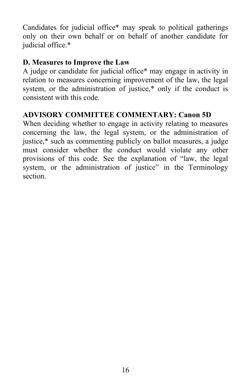Candidates for judicial office\* may speak to political gatherings only on their own behalf or on behalf of another candidate for judicial office.\*

# **D. Measures to Improve the Law**

A judge or candidate for judicial office\* may engage in activity in relation to measures concerning improvement of the law, the legal system, or the administration of justice,\* only if the conduct is consistent with this code.

#### **ADVISORY COMMITTEE COMMENTARY: Canon 5D**

When deciding whether to engage in activity relating to measures concerning the law, the legal system, or the administration of justice,\* such as commenting publicly on ballot measures, a judge must consider whether the conduct would violate any other provisions of this code. See the explanation of "law, the legal system, or the administration of justice" in the Terminology section.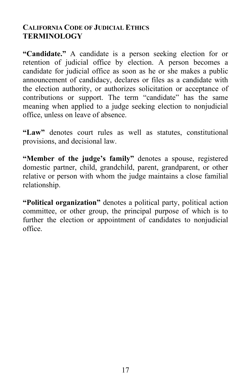#### **CALIFORNIA CODE OF JUDICIAL ETHICS TERMINOLOGY**

**"Candidate."** A candidate is a person seeking election for or retention of judicial office by election. A person becomes a candidate for judicial office as soon as he or she makes a public announcement of candidacy, declares or files as a candidate with the election authority, or authorizes solicitation or acceptance of contributions or support. The term "candidate" has the same meaning when applied to a judge seeking election to nonjudicial office, unless on leave of absence.

**"Law"** denotes court rules as well as statutes, constitutional provisions, and decisional law.

**"Member of the judge's family"** denotes a spouse, registered domestic partner, child, grandchild, parent, grandparent, or other relative or person with whom the judge maintains a close familial relationship.

**"Political organization"** denotes a political party, political action committee, or other group, the principal purpose of which is to further the election or appointment of candidates to nonjudicial office.